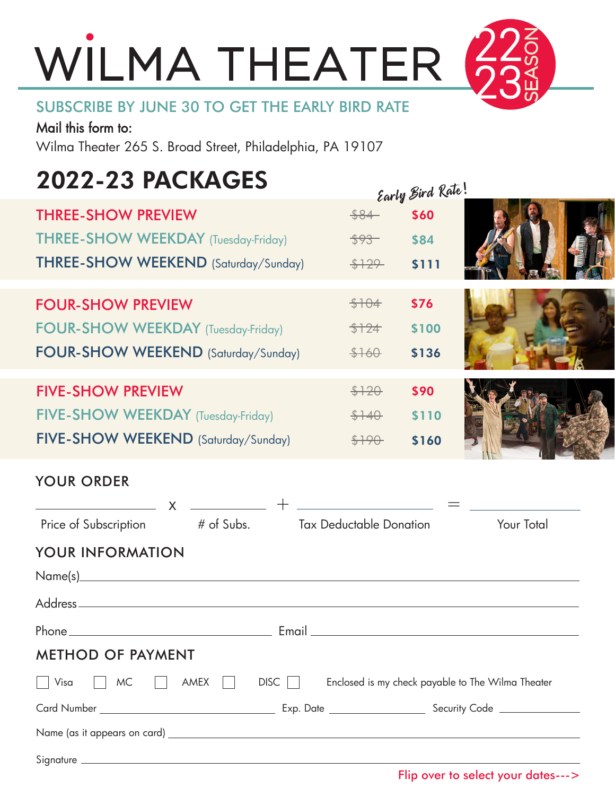# WILMA THEATER

#### SUBSCRIBE BY JUNE 30 TO GET THE EARLY BIRD RATE

Mail this form to: Wilma Theater 265 S. Broad Street, Philadelphia, PA 19107

### 2022-23 PACKAGES

|                                                                                                                 |                          | carly sum is          |                                                   |
|-----------------------------------------------------------------------------------------------------------------|--------------------------|-----------------------|---------------------------------------------------|
| <b>THREE-SHOW PREVIEW</b><br><b>THREE-SHOW WEEKDAY</b> (Tuesday-Friday)<br>THREE-SHOW WEEKEND (Saturday/Sunday) | \$84<br>$593 -$<br>\$129 | \$60<br>\$84<br>\$111 |                                                   |
|                                                                                                                 |                          |                       |                                                   |
| <b>FOUR-SHOW PREVIEW</b>                                                                                        | \$104                    | \$76                  |                                                   |
| <b>FOUR-SHOW WEEKDAY</b> (Tuesday-Friday)                                                                       | \$124                    | \$100                 |                                                   |
| FOUR-SHOW WEEKEND (Saturday/Sunday)                                                                             | \$160                    | \$136                 |                                                   |
| <b>FIVE-SHOW PREVIEW</b>                                                                                        | \$120                    | \$90                  |                                                   |
| FIVE-SHOW WEEKDAY (Tuesday-Friday)                                                                              | $$+40$                   | \$110                 |                                                   |
| FIVE-SHOW WEEKEND (Saturday/Sunday)                                                                             | \$190                    | \$160                 |                                                   |
| <b>YOUR ORDER</b>                                                                                               |                          |                       |                                                   |
| $x \underbrace{\hspace{1cm}} + \underbrace{\hspace{1cm}}$                                                       |                          |                       |                                                   |
| # of Subs. Tax Deductable Donation<br>Price of Subscription                                                     |                          |                       | Your Total                                        |
| YOUR INFORMATION                                                                                                |                          |                       |                                                   |
|                                                                                                                 |                          |                       |                                                   |
|                                                                                                                 |                          |                       |                                                   |
|                                                                                                                 |                          |                       |                                                   |
| <b>METHOD OF PAYMENT</b>                                                                                        |                          |                       |                                                   |
| AMEX<br>$DISC$    <br>Visa<br><b>MC</b>                                                                         |                          |                       | Enclosed is my check payable to The Wilma Theater |
|                                                                                                                 |                          |                       |                                                   |
|                                                                                                                 |                          |                       |                                                   |
|                                                                                                                 |                          |                       |                                                   |

 $e_{\mu}$  Rind Rate!